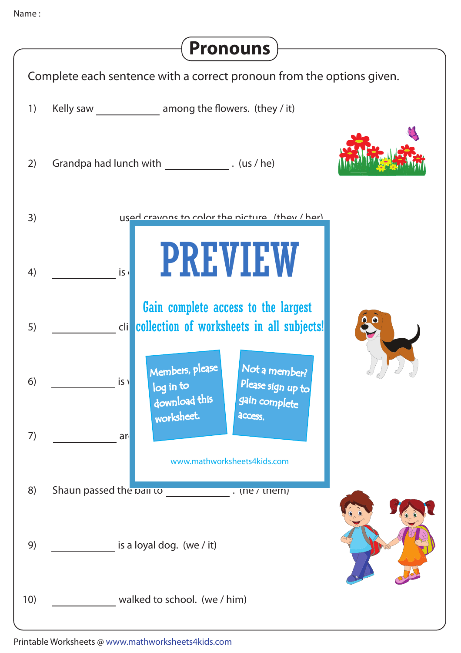